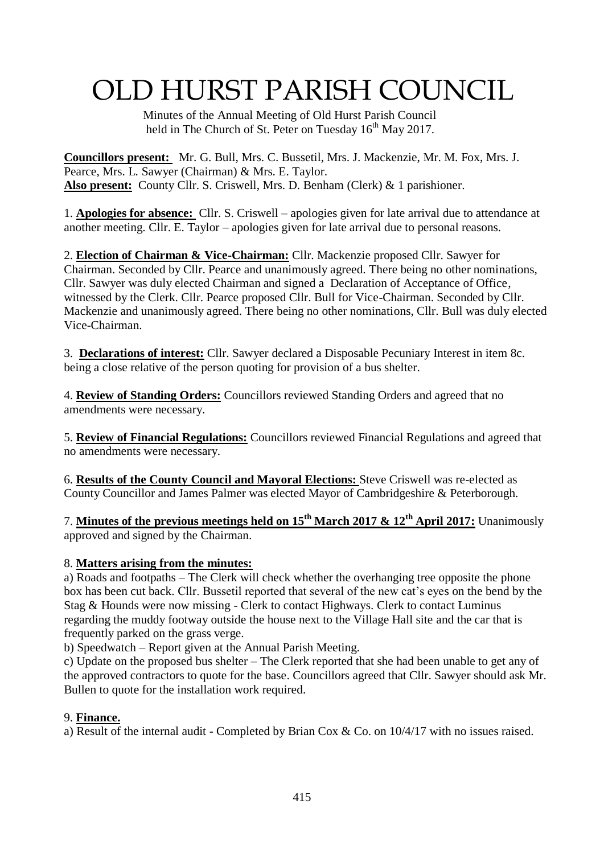# OLD HURST PARISH COUNCIL

 Minutes of the Annual Meeting of Old Hurst Parish Council held in The Church of St. Peter on Tuesday 16<sup>th</sup> May 2017.

**Councillors present:** Mr. G. Bull, Mrs. C. Bussetil, Mrs. J. Mackenzie, Mr. M. Fox, Mrs. J. Pearce, Mrs. L. Sawyer (Chairman) & Mrs. E. Taylor. **Also present:** County Cllr. S. Criswell, Mrs. D. Benham (Clerk) & 1 parishioner.

1. **Apologies for absence:** Cllr. S. Criswell – apologies given for late arrival due to attendance at another meeting. Cllr. E. Taylor – apologies given for late arrival due to personal reasons.

2. **Election of Chairman & Vice-Chairman:** Cllr. Mackenzie proposed Cllr. Sawyer for Chairman. Seconded by Cllr. Pearce and unanimously agreed. There being no other nominations, Cllr. Sawyer was duly elected Chairman and signed a Declaration of Acceptance of Office, witnessed by the Clerk. Cllr. Pearce proposed Cllr. Bull for Vice-Chairman. Seconded by Cllr. Mackenzie and unanimously agreed. There being no other nominations, Cllr. Bull was duly elected Vice-Chairman.

3. **Declarations of interest:** Cllr. Sawyer declared a Disposable Pecuniary Interest in item 8c. being a close relative of the person quoting for provision of a bus shelter.

4. **Review of Standing Orders:** Councillors reviewed Standing Orders and agreed that no amendments were necessary.

5. **Review of Financial Regulations:** Councillors reviewed Financial Regulations and agreed that no amendments were necessary.

6. **Results of the County Council and Mayoral Elections:** Steve Criswell was re-elected as County Councillor and James Palmer was elected Mayor of Cambridgeshire & Peterborough.

7. **Minutes of the previous meetings held on 15 th March 2017 & 12th April 2017:** Unanimously approved and signed by the Chairman.

### 8. **Matters arising from the minutes:**

a) Roads and footpaths – The Clerk will check whether the overhanging tree opposite the phone box has been cut back. Cllr. Bussetil reported that several of the new cat's eyes on the bend by the Stag & Hounds were now missing - Clerk to contact Highways. Clerk to contact Luminus regarding the muddy footway outside the house next to the Village Hall site and the car that is frequently parked on the grass verge.

b) Speedwatch – Report given at the Annual Parish Meeting.

c) Update on the proposed bus shelter – The Clerk reported that she had been unable to get any of the approved contractors to quote for the base. Councillors agreed that Cllr. Sawyer should ask Mr. Bullen to quote for the installation work required.

### 9. **Finance.**

a) Result of the internal audit - Completed by Brian Cox & Co. on  $10/4/17$  with no issues raised.